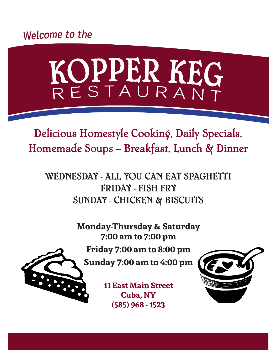# Welcom<sup>e</sup> t<sup>o</sup> th<sup>e</sup>

# KOPPER KEG

Delicious Homestyle Cooking, Daily Specials, Homemade Soups -- Breakfast, Lunch & Dinner

WEDNESDAY - ALL YOU CAN EAT SPAGHETTI FRIDAY - FISH FRY SUNDAY - CHICKEN & BISCUITS

> **Monday-Thursday & Saturday 7:00 am to 7:00 pm Friday 7:00 am to 8:00 pm Sunday 7:00 am to 4:00 pm**

> > **11 East Main Street Cuba, NY (585) 968 - 1523**



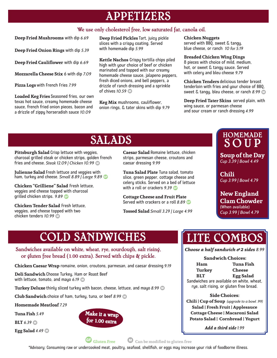# APPETIZERS

#### We use only cholesterol free, low saturated fat, canola oil.

**Deep Fried Mushrooms** with dip *6.69*

**Deep Fried Onion Rings** with dip *5.39*

**Deep Fried Cauliflower** with dip *6.69*

**Mozzarella Cheese Stix** 6 with dip *7.09*

**Pizza Logs** with French Fries *7.99*

**Loaded Keg Fries** Seasoned fries, our own texas hot sauce, creamy homemade cheese sauce, french fried onion pieces, bacon and a drizzle of zippy horseradish sauce *10.09*

**Deep Fried Pickles** Tart, juicy pickle slices with a crispy coating. Served with homemade dip *5.99*

**Kettle Nachos** Crispy tortilla chips piled high with your choice of beef or chicken marinated and topped with our creamy homemade cheese sauce, jalapeno peppers, fresh diced onions, and bell peppers, a drizzle of ranch dressing and a sprinkle of chives  $10.59$  **D** 

**Keg Mix** mushrooms, cauliflower, onion rings, & tater skins with dip *9.79*

#### **Chicken Nuggets**

served with BBQ, sweet & tangy, blue cheese, or ranch *10 for 5.19*

#### **Breaded Chicken Wing Dings**

8 pieces with choice of mild, medium, hot, or sweet & tangy sauce. Served with celery and bleu cheese *9.79*

**Chicken Tenders** delicious tender breast tenderloin with fries and your choice of BBQ, sweet & tangy, bleu cheese, or ranch 8.99 **D** 

**Deep Fried Tater Skins** served plain, with wing sauce, or parmesan cheese and sour cream or ranch dressing *4.99*

# SALADS

**Pittsburgh Salad** Crisp lettuce with veggies, charcoal grilled steak or chicken strips, golden french fries and cheese. Steak 12.09 | Chicken 10.99 **D** 

**Julienne Salad** Fresh lettuce and veggies with ham, turkey and cheese. *Small 8.89 | Large 9.89* B

**Chicken "Grilliene" Salad** Fresh lettuce, veggies and cheese topped with charcoal grilled chicken strips. *9.89* B

**Chicken Tender Salad** Fresh lettuce, veggies, and cheese topped with two chicken tenders  $10.99$  m

**Caesar Salad** Romaine lettuce, chicken strips, parmesan cheese, croutons and caesar dressing *9.99*

**Tuna Salad Plate** Tuna salad, tomato slice, green pepper, cottage cheese and celery sticks. Served on a bed of lettuce with a roll or crackers 9.39 **B** 

**Cottage Cheese and Fruit Plate**  Served with crackers or a roll 8.89 **B** 

**Tossed Salad** *Small 3.29 | Large 4.99*

## HOMEMADE SOUP

**Soup of the Day**  *Cup 3.39 | Bowl 4.49*

**Chili**  *Cup 3.99 | Bowl 4.79*

**New England Clam Chowder** (When available) *Cup 3.99 | Bowl 4.79*

# COLD SANDWICHES

Sandwiches available on white, wheat, rye, sourdough, salt rising, or gluten free bread (1.00 extra). Served with chips & pickle.

**Chicken Caesar Wrap** romaine, onion, croutons, parmesan, and caesar dressing *9.19*

**Deli Sandwich** Choose Turkey, Ham or Roast Beef with lettuce, tomato, and mayo 6.19

**Turkey Deluxe** thinly sliced turkey with bacon, cheese, lettuce, and mayo 8.99 **Deluxe** 

**Club Sandwich** choice of ham, turkey, tuna, or beef 8.99

**Homemade Meatloaf** *7.29*

**Tuna Fish** *5.49*

**BLT** 6.39 **D** 

**Egg Salad** 4.49 **D** 



# LITE COMBOS

*Choose a half sandwich & 2 sides 8.99*

| <b>Sandwich Choices:</b>                  |                                         |  |
|-------------------------------------------|-----------------------------------------|--|
| Ham                                       | Tuna Fish                               |  |
| <b>Turkey</b>                             | <b>Cheese</b>                           |  |
| <b>BIT</b>                                | <b>Egg Salad</b>                        |  |
| Sandwiches are available on white, wheat, |                                         |  |
|                                           | rye, salt rising, or gluten free bread. |  |

#### **Side Choices:**

**Chili | Cup of Soup** *(upgrade to a bowl .99)* **Salad | Fresh Fruit | Applesauce Cottage Cheese | Macaroni Salad Potato Salad | Cornbread | Yogurt**

*Add a third side 1.99*



B **Gluten Free** D **Can be modified to gluten free**

\*Advisory: Consuming raw or undercooked meat, poultry, seafood, shellfish, or eggs may increase your risk of foodborne illness.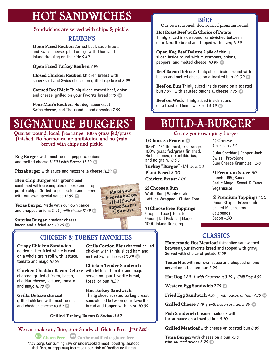# HOT SANDWICHES

#### Sandwiches are served with chips & pickle.

### REUBENS

**Open Faced Reuben** Corned beef, sauerkraut, and Swiss cheese, piled on rye with Thousand Island dressing on the side *9.49*

**Open Faced Turkey Reuben** *8.99*

**Closed Chicken Reuben** Chicken breast with sauerkraut and Swiss cheese on grilled rye bread *8.99*

**Corned Beef Melt** Thinly sliced corned beef, onion and cheese, grilled on your favorite bread 9.19 **D** 

**Poor Man's Reuben** Hot dog, sauerkraut, Swiss cheese, and Thousand Island dressing *7.89*

# SIGNATURE BURGERS\*

Quarter pound, local, free range. 100% grass fed/grass finished. No hormones, no antibiotics, and no grain. Served with chips and pickle.

**Keg Burger** with mushrooms, peppers, onions and melted cheese 11.59 | with Bacon 12.59

**Pizzaburger** with sauce and mozzarella cheese 11.29 **D** 

**Bleu Chip Burger** lean ground beef combined with creamy bleu cheese and crisp potato chips. Grilled to perfection and served with our own special sauce 11.89

**Texas Burger** Made with our own sauce and chopped onions 11.49 | with cheese 12.49 **D** 

**Sunrise Burger** cheddar cheese, bacon and a fried egg 13.29 **D** 

## CHICKEN & TURKEY FAVORITES

**Crispy Chicken Sandwich**  golden batter fried whole breast on a whole grain roll with lettuce, tomato and mayo *10.59*

**Chicken Cheddar Bacon Deluxe** with lettuce, tomato, and mayo charcoal grilled chicken, bacon, cheddar cheese, lettuce, tomato and mayo 11.99 **D** 

**Grilla Deluxe** charcoal grilled chicken with mushrooms and cheddar cheese 10.89

**Grilla Cordon Bleu** charcoal grilled chicken with thinly sliced ham and melted Swiss cheese 10.89 CD

**Chicken Tender Sandwich**  served on your favorite bread, toast, or bun *11.39* 

**Hot Turkey Sandwich** Thinly sliced roasted turkey breast sandwiched between your favorite bread and topped with gravy *10.39*

**Grilled Turkey, Bacon & Swiss** *11.89*

### We can make any Burger or Sandwich Gluten Free **~**Just Ask!**~**

B **Gluten Free** D **Can be modified to gluten free** \*Advisory: Consuming raw or undercooked meat, poultry, seafood, shellfish, or eggs may increase your risk of foodborne illness.

## BEEF

Our own seasoned, slow roasted premium round.

**Hot Roast Beef with Choice of Potato** Thinly sliced inside round, sandwiched between your favorite bread and topped with gravy *11.39*

**Open Keg Beef Deluxe** A pile of thinly sliced inside round with mushrooms, onions, peppers, and melted cheese 10.99 **D** 

**Beef Bacon Deluxe** Thinly sliced inside round with bacon and melted cheese on a toasted bun 10.09 **D** 

**Beef on Bun** Thinly sliced inside round on a toasted bun 7.99 with sautéed onions & cheese 9.99

**Beef on Weck** Thinly sliced inside round on a toasted kimmelwick roll 8.99 **D** 

# BUILD-A-BURGER\*

#### Create your own juicy burger.

#### **1) Choose a Protein** D

**Beef** - 1/4 lb. local, free range. 100% grass fed/grass finished. No hormones, no antibiotics, and no grain. *8.00*

**Turkey "Burger" -** 1/4 lb. *8.00*

**Plant Based** *8.00* **Chicken Breast** *8.00*

**2) Choose a Bun** White Bun | Whole Grain Lettuce Wrapped | Gluten Free

**3) Choose Free Toppings** Crisp Lettuce | Tomato Onion | Dill Pickles | Mayo 1000 Island Dressing

**4) Cheese** American *1.50* 

Cuba Cheddar | Pepper Jack Swiss | Provolone Blue Cheese Crumbles +*.50*

**5) Premium Sauce** *.50* Ranch | BBQ Sauce Garlic Mayo | Sweet & Tangy Vegannaise

**6) Premium Toppings** *1.00* Onion Strips | Green Chili Grilled Mushrooms Jalapenos Bacon *+.50*

## CLASSICS

**Homemade Hot Meatloaf** thick slice sandwiched between your favorite bread and topped with gravy. Served with choice of potato *11.59*

**Texas Hot** with our own sauce and chopped onions served on a toasted bun *3.99*

**Hot Dog** *2.89 | with Sauerkraut 3.79 | Chili Dog 4.59*

**Western Egg Sandwich** 7.79

Fried Egg Sandwich 4.39 | with bacon or ham 7.39

Grilled Cheese 3.79 | with bacon or ham 5.89

**Fish Sandwich** breaded haddock with tartar sauce on a toasted bun *9.20*

**Grilled Meatloaf** with cheese on toasted bun *8.89*

**Tuna Burger** with cheese on a bun *7.70 with sautéed onions 8.29* 

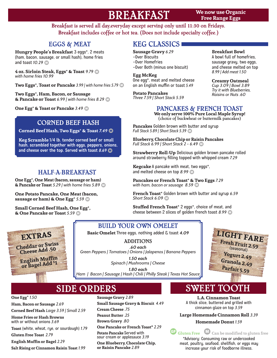# BREAKFAST

**We now use Organic Free Range Eggs**

Breakfast is served all day,everyday except serving only until 11:30 on Fridays. Breakfast includes coffee or hot tea. (Does not include specialty coffee.)

## EGGS & MEAT

**Hungry People's Breakfast** 3 eggs\*, 2 meats (ham, bacon, sausage, or small hash), home fries and toast 10.29 **D** 

**4 oz. Sirloin Steak, Eggs**\* **& Toast** *9.79* D *with home fries 10.99*

**Two Eggs<sup>\*</sup>, Toast or Pancake** 3.99 / with home fries 5.79 **D** 

**Two Eggs**\***, Ham, Bacon, or Sausage & Pancake or Toast** 6.99 | with home fries 8.29

**One Egg\*** & Toast or Pancake 3.49 **D** 

## CORNED BEEF HASH

**Corned Beef Hash, Two Eggs**\* **& Toast** *7.49* D

**Keg Scramble** 1/4 lb. tender corned beef or small hash, scrambled together with eggs, peppers, onions, and cheese over the top. Served with toast 8.69

## HALF-A-BREAKFAST

**One Egg**\***, One Meat (bacon, sausage or ham) & Pancake or Toast** 5.29 | with home fries 5.89

**One Potato Pancake, One Meat (bacon, sausage or ham) & One Egg**\* *5.59* D

**Small Corned Beef Hash, One Egg**\***, & One Pancake or Toast** 5.59



## BUILD YOUR OWN OMELET

**Basic Omelet** Three eggs, nothing added & toast *4.09*

ADDITIONS *.60 each Green Peppers | Tomatoes | Onions | Jalapenos | Banana Peppers* 

> *1.50 each Spinach | Mushrooms | Cheese*

*1.80 each Ham | Bacon | Sausage | Hash | Chili | Philly Steak | Texas Hot Sauce*



# SIDE ORDERS

**One Egg**\* *1.50* **Ham, Bacon or Sausage** *2.69* **Corned Beef Hash** *Large 3.59 | Small 2.59* **Home Fries or Hash Browns**  with or without onions *3.69* **Toast** (white, wheat, rye, or sourdough) *1.79* **Gluten Free Toast** *2.79* **English Muffin or Bagel** *2.29* **Salt Rising or Cinnamon Raisin Toast** *1.99*

**Sausage Gravy** *2.89* **Small Sausage Gravy & Biscuit** *4.49* **Cream Cheese** *.75* **Peanut Butter** *.25* **Brown Gravy** *.80* **One Pancake or French Toast\*** *2.29* **Potato Pancake** Served with sour cream or applesauce *3.19*

**One Blueberry, Chocolate Chip, or Raisin Pancake** *2.89*

## **Breakfast Bowl**

**Sausage Gravy** *6.29* -Over Biscuits -Over Homefries -Over Both (minus one biscuit)

KEG CLASSICS

**Egg McKeg** One egg\*, meat and melted cheese on an English muffin or toast *5.49*

**Potato Pancakes** *Three 7.59 | Short Stack 5.59* and cheese melted on top *8.99 | Add meat 1.50*  **Creamy Oatmeal**

A bowl full of homefries, sausage gravy, two eggs,

*Cup 3.09 | Bowl 3.89 Try it with Blueberries, Raisins or Nuts .60*

## PANCAKES & FRENCH TOAST

**We only serve 100% Pure Local Maple Syrup!**  (choice of buckwheat or buttermilk pancakes)

**Pancakes** Golden brown with butter and syrup *Full Stack 5.89 | Short Stack 5.39 00* 

**Blueberry, Chocolate Chip or Raisin Pancakes** *Full Stack 6.99 | Short Stack 2 - 6.49* D

**Strawberry Roll-Up** Delicious golden brown pancake rolled around strawberry filling topped with whipped cream *7.29*

**Kegcake** A pancake with meat, two eggs\*, and melted cheese on top 8.99

**Pancakes or French Toast**\* **& Two Eggs** *7.29 with ham, bacon or sausage 8.59* 

**French Toast**\* Golden brown with butter and syrup *6.59*  **Short Stack 6.09 CD** 

**Stuffed French Toast**\* 2 eggs\*, choice of meat, and cheese between 2 slices of golden french toast 8.99

SWEET TOOTH

**L.A. Cinnamon Toast** A thick slice, buttered and grilled with cinnamon glaze on top *3.59*

**Large Homemade Cinnamon Roll** *3.39*

#### **Homemade Donut** *1.59*



\*Advisory: Consuming raw or undercooked meat, poultry, seafood, shellfish, or eggs may increase your risk of foodborne illness.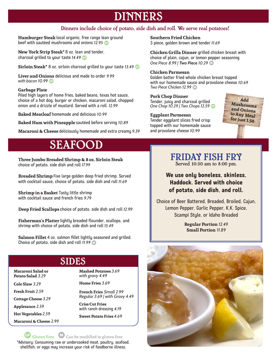# DINNERS

#### Dinners include choice of potato, side dish and roll. We serve real potatoes!

**Hamburger Steak** local organic, free range lean ground beef with sautéed mushrooms and onions 12.95 **G** 

**New York Strip Steak\*** 8 oz. lean and tender, charcoal grilled to your taste *14.49* B

**Sirloin Steak\*** 8 oz. sirloin charcoal grilled to your taste *13.49* B

**Liver and Onions** delicious and made to order *9.99 with bacon 10.99* **B** 

#### **Garbage Plate**

Piled high layers of home fries, baked beans, texas hot sauce, choice of a hot dog, burger or chicken, macaroni salad, chopped onion and a drizzle of mustard. Served with a roll. *12.99*

**Baked Meatloaf** homemade and delicious *10.99*

**Baked Ham with Pineapple** sautéed before serving *10.89*

**Macaroni & Cheese** deliciously homemade and extra creamy *9.39*

# SEAFOOD

**Three Jumbo Breaded Shrimp & 8 oz. Sirloin Steak**  choice of potato, side dish and roll *17.99*

**Breaded Shrimp** Five large golden deep fried shrimp. Served with cocktail sauce, choice of potato, side dish and roll *11.69*

**Shrimp in a Basket** Tasty little shrimp with cocktail sauce and french fries *9.79*

**Deep Fried Scallops** choice of potato, side dish and roll *12.99*

**Fisherman's Platter** lightly breaded flounder, scallops, and shrimp with choice of potato, side dish and roll *15.49*

**Salmon Fillet** 4 oz. salmon fillet lightly seasoned and grilled. Choice of potato, side dish and roll 11.99 **D** 

SIDES

**Macaroni Salad or Potato Salad** *3.29*

**Cole Slaw** *3.29*

**Fresh Fruit** *2.59*

**Cottage Cheese** *3.29*

**Applesauce** *2.59*

**Hot Vegetables** *2.59*

**Macaroni & Cheese** *2.99*

**Mashed Potatoes** *3.69 with gravy 4.49*

**Home Fries** *3.69*

**French Fries** *Small 2.99 Regular 3.69 | with Gravy 4.49*

**Criss Cut Fries** with ranch dressing *4.19*

**Sweet Potato Fries** *4.69*

B **Gluten Free** D**Can be modified to gluten free** \*Advisory: Consuming raw or undercooked meat, poultry, seafood, shellfish, or eggs may increase your risk of foodborne illness.

**Southern Fried Chicken** 3 piece, golden brown and tender *11.69*

**Chicken Grilla Dinner** grilled chicken breast with choice of plain, cajun, or lemon pepper seasoning *One Piece 8.99 | Two Piece 10.29* D

#### **Chicken Parmesan**

Golden batter fried whole chicken breast topped with our homemade sauce and provolone cheese *10.69*  **Two Piece Chicken 12.99 CD** 

**Pork Chop Dinner** Tender, juicy and charcoal grilled *One Chop 10.29 | Two Chops 12.59* B

**Eggplant Parmesan**  Tender eggplant slices fried crisp topped with our homemade sauce and provolone cheese *10.99*



## FRIDAY FISH FRY Served 10:30 am to 8:00 pm.

**We use only boneless, skinless, Haddock. Served with choice of potato, side dish, and roll.** 

Choice of Beer Battered, Breaded, Broiled, Cajun, Lemon Pepper, Garlic Pepper, K.K. Spice, Scampi Style, or Idaho Breaded

> **Regular Portion** *12.49* **Small Portion** *11.89*

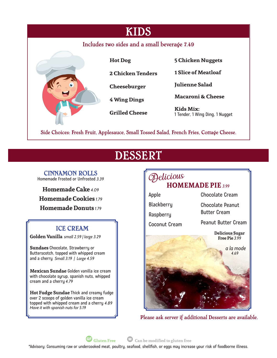| <b>KIDS</b>                                  |                          |                                              |
|----------------------------------------------|--------------------------|----------------------------------------------|
| Includes two sides and a small beverage 7.49 |                          |                                              |
|                                              | <b>Hot Dog</b>           | <b>5 Chicken Nuggets</b>                     |
|                                              | <b>2 Chicken Tenders</b> | <b>1 Slice of Meatloaf</b>                   |
|                                              | Cheeseburger             | <b>Julienne Salad</b>                        |
|                                              | 4 Wing Dings             | <b>Macaroni &amp; Cheese</b>                 |
|                                              | <b>Grilled Cheese</b>    | Kids Mix:<br>1 Tender, 1 Wing Ding, 1 Nugget |

Side Choices: Fresh Fruit, Applesauce, Small Tossed Salad, French Fries, Cottage Cheese.

# DESSERT

#### CINNAMON ROLLS Homemade Frosted or Unfrosted *3.39*

**Homemade Cake** *4.09* **Homemade Cookies** *1.79* **Homemade Donuts** *1.79*

## ICE CREAM

**Golden Vanilla** *small 2.59 | large 3.29*

**Sundaes** Chocolate, Strawberry or Butterscotch, topped with whipped cream and a cherry *Small 3.19 | Large 4.59*

**Mexican Sundae** Golden vanilla ice cream with chocolate syrup, spanish nuts, whipped cream and a cherry *4.79*

**Hot Fudge Sundae** Thick and creamy fudge over 2 scoops of golden vanilla ice cream topped with whipped cream and a cherry *4.89 Have it with spanish nuts for 5.19*



Please ask server if additional Desserts are available.

B **Gluten Free** D **Can be modified to gluten free**